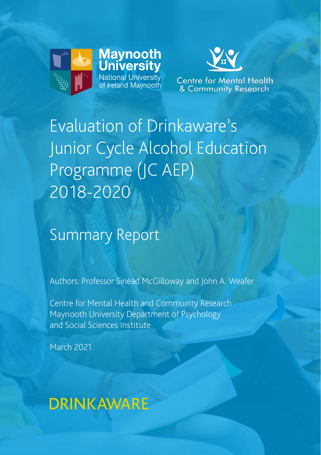



**Centre for Mental Health** & Community Research

# Evaluation of Drinkaware's Junior Cycle Alcohol Education Programme (JC AEP) 2018-2020

### Summary Report

Authors: Professor Sinéad McGilloway and John A. Weafer

Centre for Mental Health and Community Research Maynooth University Department of Psychology and Social Sciences Institute

1 Evaluation of Drinkaware's Junior Cycle Alcohol Education Programme (JCAEP) 2018-2020

March 2021

## **DRINKAWARE**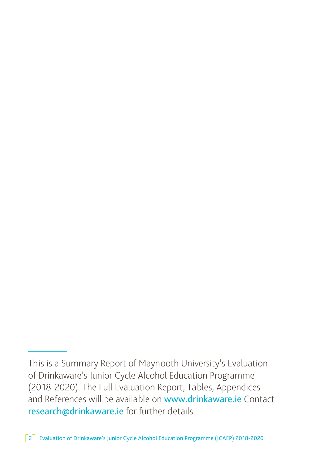This is a Summary Report of Maynooth University's Evaluation of Drinkaware's Junior Cycle Alcohol Education Programme (2018-2020). The Full Evaluation Report, Tables, Appendices and References will be available on www.drinkaware.ie Contact research@drinkaware.ie for further details.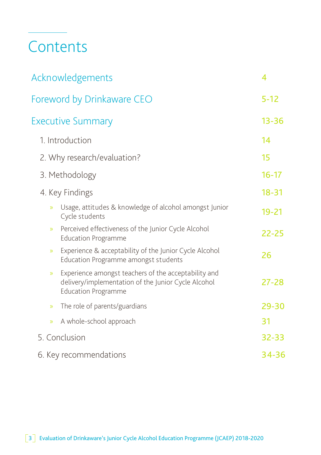## **Contents**

| Acknowledgements                               |                                                                                                             |           |  |
|------------------------------------------------|-------------------------------------------------------------------------------------------------------------|-----------|--|
| Foreword by Drinkaware CEO                     |                                                                                                             | $5 - 12$  |  |
| <b>Executive Summary</b>                       |                                                                                                             | $13 - 36$ |  |
| 1. Introduction                                |                                                                                                             | 14        |  |
| 2. Why research/evaluation?                    |                                                                                                             | 15        |  |
| 3. Methodology                                 |                                                                                                             | $16 - 17$ |  |
| 4. Key Findings                                |                                                                                                             | $18 - 31$ |  |
| »<br>Cycle students                            | Usage, attitudes & knowledge of alcohol amongst Junior                                                      | $19 - 21$ |  |
| $\mathcal{D}$<br><b>Education Programme</b>    | Perceived effectiveness of the Junior Cycle Alcohol                                                         | $22 - 25$ |  |
| $\gg$                                          | Experience & acceptability of the Junior Cycle Alcohol<br>Education Programme amongst students              | 26        |  |
| $\gg$<br><b>Education Programme</b>            | Experience amongst teachers of the acceptability and<br>delivery/implementation of the Junior Cycle Alcohol | $27 - 28$ |  |
| The role of parents/guardians<br>$\mathcal{D}$ |                                                                                                             | 29-30     |  |
| A whole-school approach<br>$\mathcal{D}$       |                                                                                                             | 31        |  |
| 5. Conclusion                                  |                                                                                                             | 32-33     |  |
| 6. Key recommendations                         |                                                                                                             | 34-36     |  |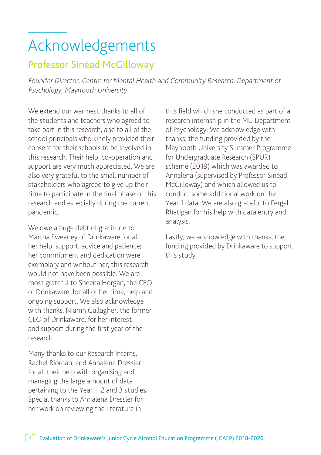# Acknowledgements

### Professor Sinéad McGilloway

Founder Director, Centre for Mental Health and Community Research, Department of Psychology, Maynooth University

We extend our warmest thanks to all of the students and teachers who agreed to take part in this research, and to all of the school principals who kindly provided their consent for their schools to be involved in this research. Their help, co-operation and support are very much appreciated. We are also very grateful to the small number of stakeholders who agreed to give up their time to participate in the final phase of this research and especially during the current pandemic.

We owe a huge debt of gratitude to Martha Sweeney of Drinkaware for all her help, support, advice and patience; her commitment and dedication were exemplary and without her, this research would not have been possible. We are most grateful to Sheena Horgan, the CEO of Drinkaware, for all of her time, help and ongoing support. We also acknowledge with thanks, Niamh Gallagher, the former CEO of Drinkaware, for her interest and support during the first year of the research.

Many thanks to our Research Interns, Rachel Riordan, and Annalena Dressler for all their help with organising and managing the large amount of data pertaining to the Year 1, 2 and 3 studies. Special thanks to Annalena Dressler for her work on reviewing the literature in

this field which she conducted as part of a research internship in the MU Department of Psychology. We acknowledge with thanks, the funding provided by the Maynooth University Summer Programme for Undergraduate Research (SPUR) scheme (2019) which was awarded to Annalena (supervised by Professor Sinéad McGilloway) and which allowed us to conduct some additional work on the Year 1 data. We are also grateful to Fergal Rhatigan for his help with data entry and analysis.

Lastly, we acknowledge with thanks, the funding provided by Drinkaware to support this study.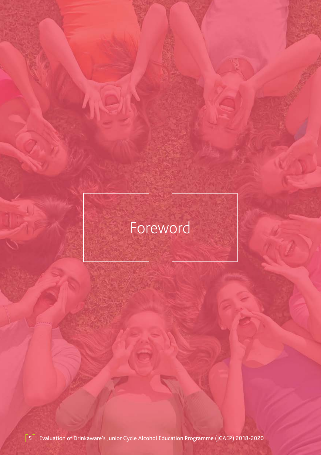# Foreword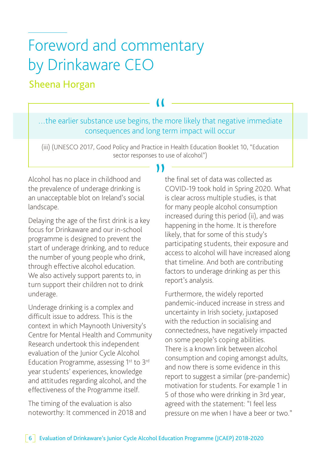# Foreword and commentary by Drinkaware CEO

### Sheena Horgan

…the earlier substance use begins, the more likely that negative immediate " consequences and long term impact will occur

(iii) (UNESCO 2017, Good Policy and Practice in Health Education Booklet 10, "Education sector responses to use of alcohol")

Alcohol has no place in childhood and the prevalence of underage drinking is an unacceptable blot on Ireland's social landscape.

Delaying the age of the first drink is a key focus for Drinkaware and our in-school programme is designed to prevent the start of underage drinking, and to reduce the number of young people who drink, through effective alcohol education. We also actively support parents to, in turn support their children not to drink underage.

Underage drinking is a complex and difficult issue to address. This is the context in which Maynooth University's Centre for Mental Health and Community Research undertook this independent evaluation of the Junior Cycle Alcohol Education Programme, assessing 1st to 3rd year students' experiences, knowledge and attitudes regarding alcohol, and the effectiveness of the Programme itself.

The timing of the evaluation is also noteworthy: It commenced in 2018 and

the final set of data was collected as COVID-19 took hold in Spring 2020. What is clear across multiple studies, is that for many people alcohol consumption increased during this period (ii), and was happening in the home. It is therefore likely, that for some of this study's participating students, their exposure and access to alcohol will have increased along that timeline. And both are contributing factors to underage drinking as per this report's analysis.

Furthermore, the widely reported pandemic-induced increase in stress and uncertainty in Irish society, juxtaposed with the reduction in socialising and connectedness, have negatively impacted on some people's coping abilities. There is a known link between alcohol consumption and coping amongst adults, and now there is some evidence in this report to suggest a similar (pre-pandemic) motivation for students. For example 1 in 5 of those who were drinking in 3rd year, agreed with the statement: "I feel less pressure on me when I have a beer or two."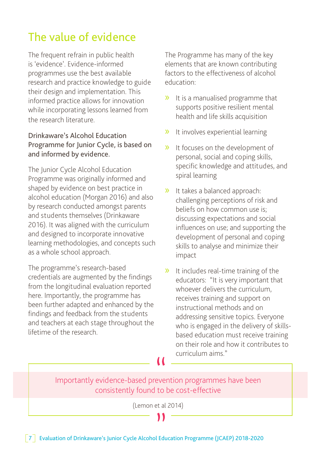### The value of evidence

The frequent refrain in public health is 'evidence'. Evidence-informed programmes use the best available research and practice knowledge to guide their design and implementation. This informed practice allows for innovation while incorporating lessons learned from the research literature.

### Drinkaware's Alcohol Education Programme for Junior Cycle, is based on and informed by evidence.

The Junior Cycle Alcohol Education Programme was originally informed and shaped by evidence on best practice in alcohol education (Morgan 2016) and also by research conducted amongst parents and students themselves (Drinkaware 2016). It was aligned with the curriculum and designed to incorporate innovative learning methodologies, and concepts such as a whole school approach.

The programme's research-based credentials are augmented by the findings from the longitudinal evaluation reported here. Importantly, the programme has been further adapted and enhanced by the findings and feedback from the students and teachers at each stage throughout the lifetime of the research.

The Programme has many of the key elements that are known contributing factors to the effectiveness of alcohol education:

- » It is a manualised programme that supports positive resilient mental health and life skills acquisition
- » It involves experiential learning
- » It focuses on the development of personal, social and coping skills, specific knowledge and attitudes, and spiral learning
- » It takes a balanced approach: challenging perceptions of risk and beliefs on how common use is; discussing expectations and social influences on use; and supporting the development of personal and coping skills to analyse and minimize their impact
- » It includes real-time training of the educators: "It is very important that whoever delivers the curriculum, receives training and support on instructional methods and on addressing sensitive topics. Everyone who is engaged in the delivery of skillsbased education must receive training on their role and how it contributes to curriculum aims."

Importantly evidence-based prevention programmes have been consistently found to be cost-effective

(Lemon et al 2014)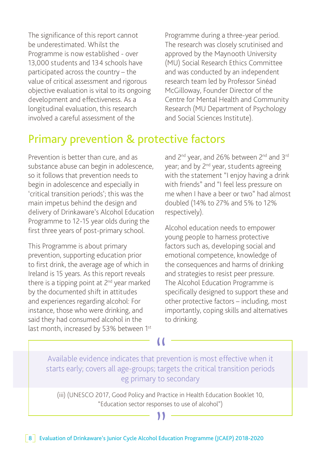The significance of this report cannot be underestimated. Whilst the Programme is now established - over 13,000 students and 134 schools have participated across the country – the value of critical assessment and rigorous objective evaluation is vital to its ongoing development and effectiveness. As a longitudinal evaluation, this research involved a careful assessment of the

Programme during a three-year period. The research was closely scrutinised and approved by the Maynooth University (MU) Social Research Ethics Committee and was conducted by an independent research team led by Professor Sinéad McGilloway, Founder Director of the Centre for Mental Health and Community Research (MU Department of Psychology and Social Sciences Institute).

### Primary prevention & protective factors

Prevention is better than cure, and as substance abuse can begin in adolescence, so it follows that prevention needs to begin in adolescence and especially in 'critical transition periods'; this was the main impetus behind the design and delivery of Drinkaware's Alcohol Education Programme to 12-15 year olds during the first three years of post-primary school.

This Programme is about primary prevention, supporting education prior to first drink, the average age of which in Ireland is 15 years. As this report reveals there is a tipping point at 2<sup>nd</sup> year marked by the documented shift in attitudes and experiences regarding alcohol: For instance, those who were drinking, and said they had consumed alcohol in the last month, increased by 53% between 1st

and 2<sup>nd</sup> year, and 26% between 2<sup>nd</sup> and 3<sup>rd</sup> year; and by 2<sup>nd</sup> year, students agreeing with the statement "I enjoy having a drink with friends" and "I feel less pressure on me when I have a beer or two" had almost doubled (14% to 27% and 5% to 12% respectively).

Alcohol education needs to empower young people to harness protective factors such as, developing social and emotional competence, knowledge of the consequences and harms of drinking and strategies to resist peer pressure. The Alcohol Education Programme is specifically designed to support these and other protective factors – including, most importantly, coping skills and alternatives to drinking.

Available evidence indicates that prevention is most effective when it starts early; covers all age-groups; targets the critical transition periods eg primary to secondary

(iii) (UNESCO 2017, Good Policy and Practice in Health Education Booklet 10, "Education sector responses to use of alcohol")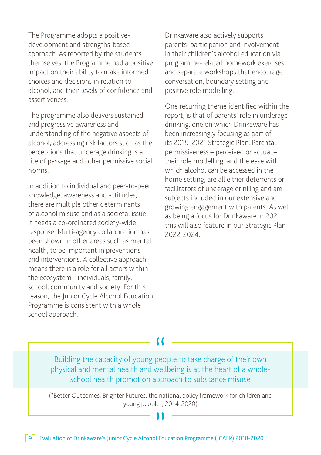The Programme adopts a positivedevelopment and strengths-based approach. As reported by the students themselves, the Programme had a positive impact on their ability to make informed choices and decisions in relation to alcohol, and their levels of confidence and assertiveness.

The programme also delivers sustained and progressive awareness and understanding of the negative aspects of alcohol, addressing risk factors such as the perceptions that underage drinking is a rite of passage and other permissive social norms.

In addition to individual and peer-to-peer knowledge, awareness and attitudes, there are multiple other determinants of alcohol misuse and as a societal issue it needs a co-ordinated society-wide response. Multi-agency collaboration has been shown in other areas such as mental health, to be important in preventions and interventions. A collective approach means there is a role for all actors within the ecosystem - individuals, family, school, community and society. For this reason, the Junior Cycle Alcohol Education Programme is consistent with a whole school approach.

Drinkaware also actively supports parents' participation and involvement in their children's alcohol education via programme-related homework exercises and separate workshops that encourage conversation, boundary setting and positive role modelling.

One recurring theme identified within the report, is that of parents' role in underage drinking, one on which Drinkaware has been increasingly focusing as part of its 2019-2021 Strategic Plan. Parental permissiveness – perceived or actual – their role modelling, and the ease with which alcohol can be accessed in the home setting, are all either deterrents or facilitators of underage drinking and are subjects included in our extensive and growing engagement with parents. As well as being a focus for Drinkaware in 2021 this will also feature in our Strategic Plan 2022-2024.

Building the capacity of young people to take charge of their own physical and mental health and wellbeing is at the heart of a wholeschool health promotion approach to substance misuse

("Better Outcomes, Brighter Futures, the national policy framework for children and young people", 2014-2020)

"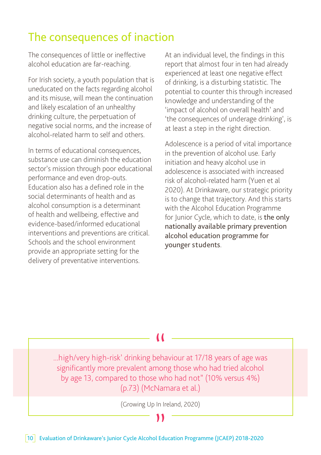### The consequences of inaction

The consequences of little or ineffective alcohol education are far-reaching.

For Irish society, a youth population that is uneducated on the facts regarding alcohol and its misuse, will mean the continuation and likely escalation of an unhealthy drinking culture, the perpetuation of negative social norms, and the increase of alcohol-related harm to self and others.

In terms of educational consequences, substance use can diminish the education sector's mission through poor educational performance and even drop-outs. Education also has a defined role in the social determinants of health and as alcohol consumption is a determinant of health and wellbeing, effective and evidence-based/informed educational interventions and preventions are critical. Schools and the school environment provide an appropriate setting for the delivery of preventative interventions.

At an individual level, the findings in this report that almost four in ten had already experienced at least one negative effect of drinking, is a disturbing statistic. The potential to counter this through increased knowledge and understanding of the 'impact of alcohol on overall health' and 'the consequences of underage drinking', is at least a step in the right direction.

Adolescence is a period of vital importance in the prevention of alcohol use. Early initiation and heavy alcohol use in adolescence is associated with increased risk of alcohol-related harm (Yuen et al 2020). At Drinkaware, our strategic priority is to change that trajectory. And this starts with the Alcohol Education Programme for Junior Cycle, which to date, is the only nationally available primary prevention alcohol education programme for younger students.

...high/very high-risk' drinking behaviour at 17/18 years of age was " significantly more prevalent among those who had tried alcohol by age 13, compared to those who had not" (10% versus 4%) (p.73) (McNamara et al.)

 $\left(\text{Group Up In Ireland, 2020}\right)$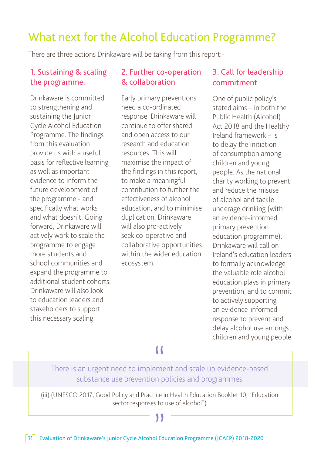### What next for the Alcohol Education Programme?

There are three actions Drinkaware will be taking from this report:-

### 1. Sustaining & scaling the programme.

Drinkaware is committed to strengthening and sustaining the Junior Cycle Alcohol Education Programme. The findings from this evaluation provide us with a useful basis for reflective learning as well as important evidence to inform the future development of the programme - and specifically what works and what doesn't. Going forward, Drinkaware will actively work to scale the programme to engage more students and school communities and expand the programme to additional student cohorts. Drinkaware will also look to education leaders and stakeholders to support this necessary scaling.

### 2. Further co-operation & collaboration

Early primary preventions need a co-ordinated response. Drinkaware will continue to offer shared and open access to our research and education resources. This will maximise the impact of the findings in this report, to make a meaningful contribution to further the effectiveness of alcohol education, and to minimise duplication. Drinkaware will also pro-actively seek co-operative and collaborative opportunities within the wider education ecosystem.

### 3. Call for leadership commitment

One of public policy's stated aims – in both the Public Health (Alcohol) Act 2018 and the Healthy Ireland framework – is to delay the initiation of consumption among children and young people. As the national charity working to prevent and reduce the misuse of alcohol and tackle underage drinking (with an evidence-informed primary prevention education programme), Drinkaware will call on Ireland's education leaders to formally acknowledge the valuable role alcohol education plays in primary prevention, and to commit to actively supporting an evidence-informed response to prevent and delay alcohol use amongst children and young people.

There is an urgent need to implement and scale up evidence-based substance use prevention policies and programmes

(iii) (UNESCO 2017, Good Policy and Practice in Health Education Booklet 10, "Education sector responses to use of alcohol")

### ۱۱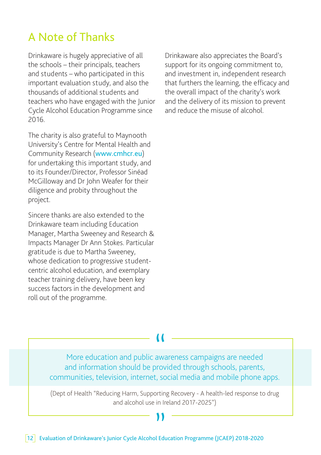### A Note of Thanks

Drinkaware is hugely appreciative of all the schools – their principals, teachers and students – who participated in this important evaluation study, and also the thousands of additional students and teachers who have engaged with the Junior Cycle Alcohol Education Programme since 2016.

The charity is also grateful to Maynooth University's Centre for Mental Health and Community Research (www.cmhcr.eu) for undertaking this important study, and to its Founder/Director, Professor Sinéad McGilloway and Dr John Weafer for their diligence and probity throughout the project.

Sincere thanks are also extended to the Drinkaware team including Education Manager, Martha Sweeney and Research & Impacts Manager Dr Ann Stokes. Particular gratitude is due to Martha Sweeney, whose dedication to progressive studentcentric alcohol education, and exemplary teacher training delivery, have been key success factors in the development and roll out of the programme.

Drinkaware also appreciates the Board's support for its ongoing commitment to, and investment in, independent research that furthers the learning, the efficacy and the overall impact of the charity's work and the delivery of its mission to prevent and reduce the misuse of alcohol.

More education and public awareness campaigns are needed and information should be provided through schools, parents, communities, television, internet, social media and mobile phone apps.

(Dept of Health "Reducing Harm, Supporting Recovery - A health-led response to drug and alcohol use in Ireland 2017-2025")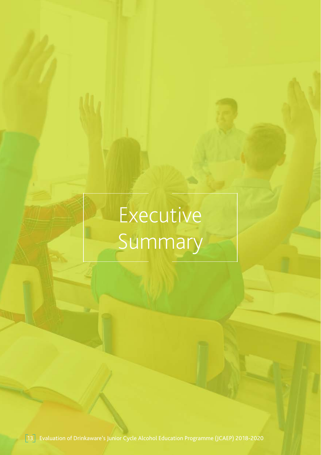# Executive Summary

13 Evaluation of Drinkaware's Junior Cycle Alcohol Education Programme (JCAEP) 2018-2020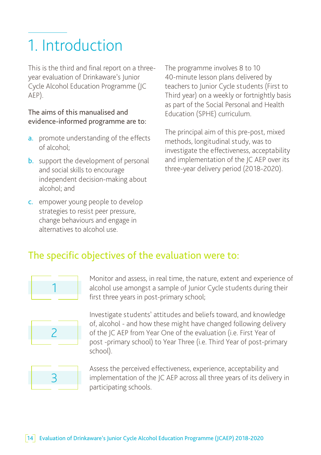# 1. Introduction

This is the third and final report on a threeyear evaluation of Drinkaware's Junior Cycle Alcohol Education Programme (JC AEP).

### The aims of this manualised and evidence-informed programme are to:

- a. promote understanding of the effects of alcohol;
- **b.** support the development of personal and social skills to encourage independent decision-making about alcohol; and
- c. empower young people to develop strategies to resist peer pressure, change behaviours and engage in alternatives to alcohol use.

The programme involves 8 to 10 40-minute lesson plans delivered by teachers to Junior Cycle students (First to Third year) on a weekly or fortnightly basis as part of the Social Personal and Health Education (SPHE) curriculum.

The principal aim of this pre-post, mixed methods, longitudinal study, was to investigate the effectiveness, acceptability and implementation of the JC AEP over its three-year delivery period (2018-2020).

### The specific objectives of the evaluation were to:



Monitor and assess, in real time, the nature, extent and experience of alcohol use amongst a sample of Junior Cycle students during their first three years in post-primary school;



Investigate students' attitudes and beliefs toward, and knowledge of, alcohol - and how these might have changed following delivery of the JC AEP from Year One of the evaluation (i.e. First Year of post -primary school) to Year Three (i.e. Third Year of post-primary school).



Assess the perceived effectiveness, experience, acceptability and implementation of the JC AEP across all three years of its delivery in participating schools.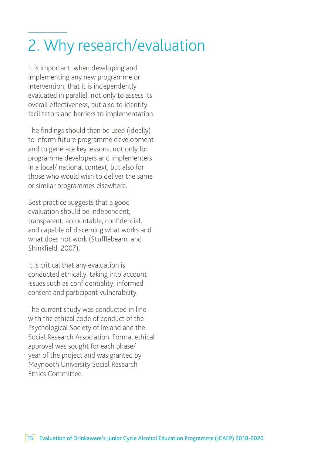# 2. Why research/evaluation

It is important, when developing and implementing any new programme or intervention, that it is independently evaluated in parallel, not only to assess its overall effectiveness, but also to identify facilitators and barriers to implementation.

The findings should then be used (ideally) to inform future programme development and to generate key lessons, not only for programme developers and implementers in a local/ national context, but also for those who would wish to deliver the same or similar programmes elsewhere.

Best practice suggests that a good evaluation should be independent, transparent, accountable, confidential, and capable of discerning what works and what does not work (Stufflebeam. and Shinkfield, 2007).

It is critical that any evaluation is conducted ethically, taking into account issues such as confidentiality, informed consent and participant vulnerability.

The current study was conducted in line with the ethical code of conduct of the Psychological Society of Ireland and the Social Research Association. Formal ethical approval was sought for each phase/ year of the project and was granted by Maynooth University Social Research Ethics Committee.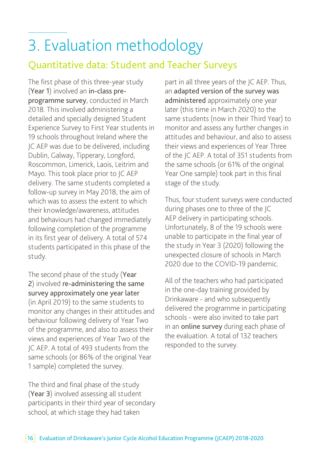# 3. Evaluation methodology

### Quantitative data: Student and Teacher Surveys

The first phase of this three-year study (Year 1) involved an in-class preprogramme survey, conducted in March 2018. This involved administering a detailed and specially designed Student Experience Survey to First Year students in 19 schools throughout Ireland where the JC AEP was due to be delivered, including Dublin, Galway, Tipperary, Longford, Roscommon, Limerick, Laois, Leitrim and Mayo. This took place prior to JC AEP delivery. The same students completed a follow-up survey in May 2018, the aim of which was to assess the extent to which their knowledge/awareness, attitudes and behaviours had changed immediately following completion of the programme in its first year of delivery. A total of 574 students participated in this phase of the study.

The second phase of the study (Year 2) involved re-administering the same survey approximately one year later (in April 2019) to the same students to monitor any changes in their attitudes and behaviour following delivery of Year Two of the programme, and also to assess their views and experiences of Year Two of the JC AEP. A total of 493 students from the same schools (or 86% of the original Year 1 sample) completed the survey.

The third and final phase of the study (Year 3) involved assessing all student participants in their third year of secondary school, at which stage they had taken

part in all three years of the JC AEP. Thus, an adapted version of the survey was administered approximately one year later (this time in March 2020) to the same students (now in their Third Year) to monitor and assess any further changes in attitudes and behaviour, and also to assess their views and experiences of Year Three of the JC AEP. A total of 351 students from the same schools (or 61% of the original Year One sample) took part in this final stage of the study.

Thus, four student surveys were conducted during phases one to three of the JC AEP delivery in participating schools. Unfortunately, 8 of the 19 schools were unable to participate in the final year of the study in Year 3 (2020) following the unexpected closure of schools in March 2020 due to the COVID-19 pandemic.

All of the teachers who had participated in the one-day training provided by Drinkaware - and who subsequently delivered the programme in participating schools - were also invited to take part in an online survey during each phase of the evaluation. A total of 132 teachers responded to the survey.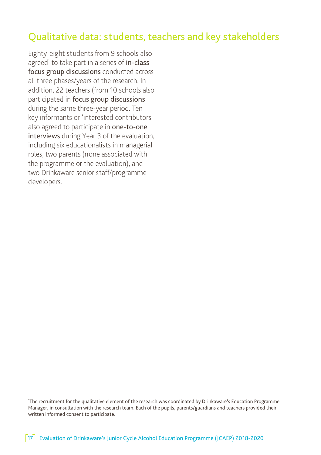### Qualitative data: students, teachers and key stakeholders

Eighty-eight students from 9 schools also agreed<sup>1</sup> to take part in a series of **in-class** focus group discussions conducted across all three phases/years of the research. In addition, 22 teachers (from 10 schools also participated in focus group discussions during the same three-year period. Ten key informants or 'interested contributors' also agreed to participate in one-to-one interviews during Year 3 of the evaluation, including six educationalists in managerial roles, two parents (none associated with the programme or the evaluation), and two Drinkaware senior staff/programme developers.

<sup>1</sup> The recruitment for the qualitative element of the research was coordinated by Drinkaware's Education Programme Manager, in consultation with the research team. Each of the pupils, parents/guardians and teachers provided their written informed consent to participate.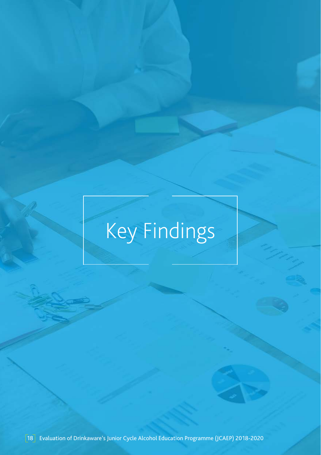# Key Findings

18 Evaluation of Drinkaware's Junior Cycle Alcohol Education Programme (JCAEP) 2018-2020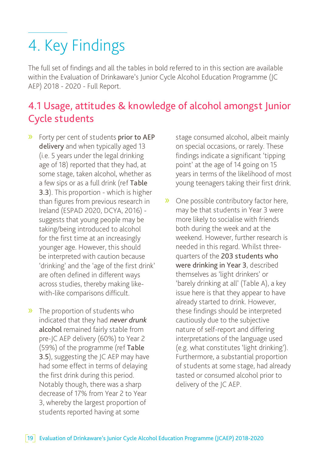# 4. Key Findings

The full set of findings and all the tables in bold referred to in this section are available within the Evaluation of Drinkaware's Junior Cycle Alcohol Education Programme (JC AEP) 2018 - 2020 - Full Report.

### 4.1 Usage, attitudes & knowledge of alcohol amongst Junior Cycle students

- » Forty per cent of students prior to AEP delivery and when typically aged 13 (i.e. 5 years under the legal drinking age of 18) reported that they had, at some stage, taken alcohol, whether as a few sips or as a full drink (ref Table 3.3). This proportion - which is higher than figures from previous research in Ireland (ESPAD 2020, DCYA, 2016) suggests that young people may be taking/being introduced to alcohol for the first time at an increasingly younger age. However, this should be interpreted with caution because 'drinking' and the 'age of the first drink' are often defined in different ways across studies, thereby making likewith-like comparisons difficult.
- » The proportion of students who indicated that they had never drunk alcohol remained fairly stable from pre-JC AEP delivery (60%) to Year 2 (59%) of the programme (ref Table 3.5), suggesting the JC AEP may have had some effect in terms of delaying the first drink during this period. Notably though, there was a sharp decrease of 17% from Year 2 to Year 3, whereby the largest proportion of students reported having at some

stage consumed alcohol, albeit mainly on special occasions, or rarely. These findings indicate a significant 'tipping point' at the age of 14 going on 15 years in terms of the likelihood of most young teenagers taking their first drink.

» One possible contributory factor here, may be that students in Year 3 were more likely to socialise with friends both during the week and at the weekend. However, further research is needed in this regard. Whilst threequarters of the 203 students who were drinking in Year 3, described themselves as 'light drinkers' or 'barely drinking at all' (Table A), a key issue here is that they appear to have already started to drink. However, these findings should be interpreted cautiously due to the subjective nature of self-report and differing interpretations of the language used (e.g. what constitutes 'light drinking'). Furthermore, a substantial proportion of students at some stage, had already tasted or consumed alcohol prior to delivery of the IC AEP.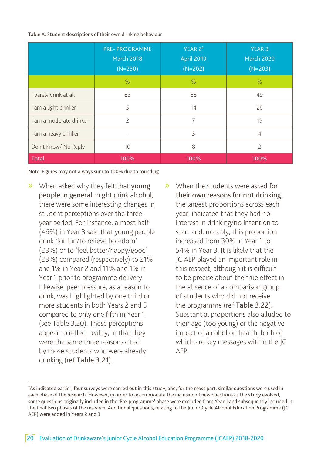Table A: Student descriptions of their own drinking behaviour

|                                                | <b>PRE-PROGRAMME</b><br><b>March 2018</b><br>$(N=230)$ | YEAR 2 <sup>2</sup><br><b>April 2019</b><br>$(N=202)$ | <b>YEAR 3</b><br>March 2020<br>$(N=203)$ |  |
|------------------------------------------------|--------------------------------------------------------|-------------------------------------------------------|------------------------------------------|--|
|                                                | $\%$                                                   | $\%$                                                  | %                                        |  |
| I barely drink at all                          | 83                                                     | 68                                                    | 49                                       |  |
| am a light drinker                             | 5                                                      | 14                                                    | 26                                       |  |
| I am a moderate drinker                        | $\overline{\phantom{0}}$                               | 7                                                     | 19                                       |  |
| am a heavy drinker<br>$\overline{\phantom{a}}$ |                                                        | 3                                                     | $\overline{4}$                           |  |
| Don't Know/ No Reply                           | 8<br>10                                                |                                                       | $\overline{\phantom{0}}$                 |  |
| Total                                          | 100%                                                   | 100%                                                  | 100%                                     |  |

Note: Figures may not always sum to 100% due to rounding.

- » When asked why they felt that young people in general might drink alcohol, there were some interesting changes in student perceptions over the threeyear period. For instance, almost half (46%) in Year 3 said that young people drink 'for fun/to relieve boredom' (23%) or to 'feel better/happy/good' (23%) compared (respectively) to 21% and 1% in Year 2 and 11% and 1% in Year 1 prior to programme delivery Likewise, peer pressure, as a reason to drink, was highlighted by one third or more students in both Years 2 and 3 compared to only one fifth in Year 1 (see Table 3.20). These perceptions appear to reflect reality, in that they were the same three reasons cited by those students who were already drinking (ref Table 3.21).
- » When the students were asked for their own reasons for not drinking, the largest proportions across each year, indicated that they had no interest in drinking/no intention to start and, notably, this proportion increased from 30% in Year 1 to 54% in Year 3. It is likely that the JC AEP played an important role in this respect, although it is difficult to be precise about the true effect in the absence of a comparison group of students who did not receive the programme (ref Table 3.22). Substantial proportions also alluded to their age (too young) or the negative impact of alcohol on health, both of which are key messages within the JC AEP.

<sup>2</sup> As indicated earlier, four surveys were carried out in this study, and, for the most part, similar questions were used in each phase of the research. However, in order to accommodate the inclusion of new questions as the study evolved, some questions originally included in the 'Pre-programme' phase were excluded from Year 1 and subsequently included in the final two phases of the research. Additional questions, relating to the Junior Cycle Alcohol Education Programme (JC AEP) were added in Years 2 and 3.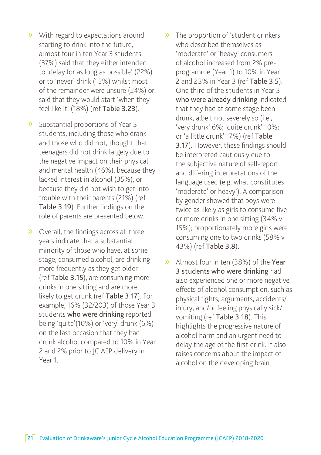- » With regard to expectations around starting to drink into the future, almost four in ten Year 3 students (37%) said that they either intended to 'delay for as long as possible' (22%) or to 'never' drink (15%) whilst most of the remainder were unsure (24%) or said that they would start 'when they feel like it' (18%) (ref Table 3.23).
- » Substantial proportions of Year 3 students, including those who drank and those who did not, thought that teenagers did not drink largely due to the negative impact on their physical and mental health (46%), because they lacked interest in alcohol (35%), or because they did not wish to get into trouble with their parents (21%) (ref Table 3.19). Further findings on the role of parents are presented below.
- » Overall, the findings across all three years indicate that a substantial minority of those who have, at some stage, consumed alcohol, are drinking more frequently as they get older (ref Table 3.15), are consuming more drinks in one sitting and are more likely to get drunk (ref Table 3.17). For example, 16% (32/203) of those Year 3 students who were drinking reported being 'quite'(10%) or 'very' drunk (6%) on the last occasion that they had drunk alcohol compared to 10% in Year 2 and 2% prior to JC AEP delivery in Year 1.
- » The proportion of 'student drinkers' who described themselves as 'moderate' or 'heavy' consumers of alcohol increased from 2% preprogramme (Year 1) to 10% in Year 2 and 23% in Year 3 (ref Table 3.5). One third of the students in Year 3 who were already drinking indicated that they had at some stage been drunk, albeit not severely so (i.e., 'very drunk' 6%; 'quite drunk' 10%; or 'a little drunk' 17%) (ref Table 3.17). However, these findings should be interpreted cautiously due to the subjective nature of self-report and differing interpretations of the language used (e.g. what constitutes 'moderate' or heavy'). A comparison by gender showed that boys were twice as likely as girls to consume five or more drinks in one sitting (34% v 15%); proportionately more girls were consuming one to two drinks (58% v 43%) (ref Table 3.8).
- » Almost four in ten (38%) of the Year 3 students who were drinking had also experienced one or more negative effects of alcohol consumption, such as physical fights, arguments, accidents/ injury, and/or feeling physically sick/ vomiting (ref Table 3.18). This highlights the progressive nature of alcohol harm and an urgent need to delay the age of the first drink. It also raises concerns about the impact of alcohol on the developing brain.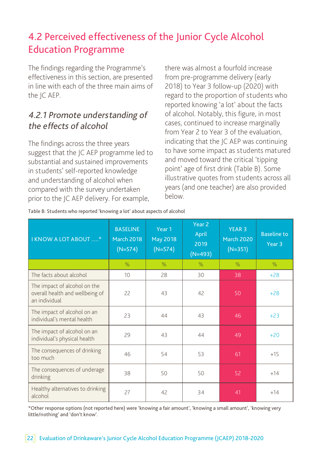### 4.2 Perceived effectiveness of the Junior Cycle Alcohol Education Programme

The findings regarding the Programme's effectiveness in this section, are presented in line with each of the three main aims of the IC AEP.

### 4.2.1 Promote understanding of the effects of alcohol

The findings across the three years suggest that the JC AEP programme led to substantial and sustained improvements in students' self-reported knowledge and understanding of alcohol when compared with the survey undertaken prior to the JC AEP delivery. For example,

there was almost a fourfold increase from pre-programme delivery (early 2018) to Year 3 follow-up (2020) with regard to the proportion of students who reported knowing 'a lot' about the facts of alcohol. Notably, this figure, in most cases, continued to increase marginally from Year 2 to Year 3 of the evaluation, indicating that the JC AEP was continuing to have some impact as students matured and moved toward the critical 'tipping point' age of first drink (Table B). Some illustrative quotes from students across all years (and one teacher) are also provided below.

| I KNOW A LOT ABOUT *                                                             | <b>BASELINE</b><br><b>March 2018</b><br>$(N=574)$ | Year 1<br><b>May 2018</b><br>$(N=574)$ | Year <sub>2</sub><br>April<br>2019<br>$(N=493)$ | <b>YEAR 3</b><br><b>March 2020</b><br>$(N=351)$ | <b>Baseline to</b><br>Year <sub>3</sub> |
|----------------------------------------------------------------------------------|---------------------------------------------------|----------------------------------------|-------------------------------------------------|-------------------------------------------------|-----------------------------------------|
|                                                                                  | $\%$                                              | $\%$                                   | $\%$                                            | $\%$                                            | $\%$                                    |
| The facts about alcohol                                                          | 10                                                | 28                                     | 30                                              | 38                                              | $+28$                                   |
| The impact of alcohol on the<br>overall health and wellbeing of<br>an individual | 22                                                | 43                                     | 42                                              | 50                                              | $+28$                                   |
| The impact of alcohol on an<br>individual's mental health                        | 23                                                | 44                                     | 43                                              | 46                                              | $+23$                                   |
| The impact of alcohol on an<br>individual's physical health                      | 29                                                | 43                                     | 44                                              | 49                                              | $+20$                                   |
| The consequences of drinking<br>too much                                         | 46                                                | 54                                     | 53                                              | 61                                              | $+15$                                   |
| The consequences of underage<br>drinking                                         | 38                                                | 50                                     | 50                                              | 52                                              | $+14$                                   |
| Healthy alternatives to drinking<br>alcohol                                      | 27                                                | 42                                     | 34                                              | 41                                              | $+14$                                   |

\*Other response options (not reported here) were 'knowing a fair amount', 'knowing a small amount', 'knowing very little/nothing' and 'don't know'.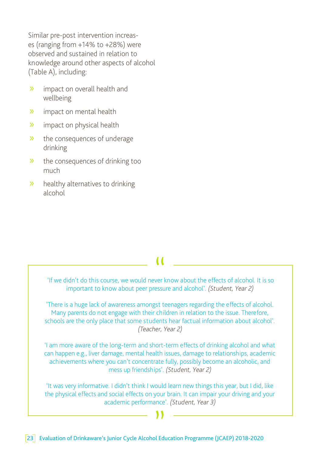Similar pre-post intervention increases (ranging from +14% to +28%) were observed and sustained in relation to knowledge around other aspects of alcohol (Table A), including:

- » impact on overall health and wellbeing
- » impact on mental health
- » impact on physical health
- » the consequences of underage drinking
- » the consequences of drinking too much
- » healthy alternatives to drinking alcohol

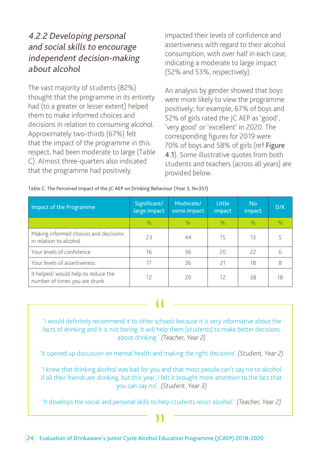### 4.2.2 Developing personal and social skills to encourage independent decision-making about alcohol

The vast majority of students (82%) thought that the programme in its entirety had (to a greater or lesser extent) helped them to make informed choices and decisions in relation to consuming alcohol. Approximately two-thirds (67%) felt that the impact of the programme in this respect, had been moderate to large (Table C). Almost three-quarters also indicated that the programme had positively

impacted their levels of confidence and assertiveness with regard to their alcohol consumption, with over half in each case, indicating a moderate to large impact (52% and 53%, respectively).

An analysis by gender showed that boys were more likely to view the programme positively; for example, 67% of boys and 52% of girls rated the JC AEP as 'good', 'very good' or 'excellent' in 2020. The corresponding figures for 2019 were 70% of boys and 58% of girls (ref Figure 4.1). Some illustrative quotes from both students and teachers (across all years) are provided below.

| able C. The Perceived impact of the JC AEP on Drinking behaviour (Teal 3, N=331) |                              |                          |                         |               |      |
|----------------------------------------------------------------------------------|------------------------------|--------------------------|-------------------------|---------------|------|
| Impact of the Programme                                                          | Significant/<br>large impact | Moderate/<br>some impact | <b>Little</b><br>impact | No.<br>impact | D/K  |
|                                                                                  | $\frac{1}{2}$                | $\%$                     | $\frac{1}{2}$           | $\%$          | $\%$ |
| Making informed choices and decisions<br>in relation to alcohol                  | 23                           | 44                       | 15                      | 13            | 5.   |
| Your levels of confidence                                                        | 16                           | 36                       | 20                      | 22            | 6    |
| Your levels of assertiveness                                                     | 17                           | 36                       | 21                      | 18            | 8    |
| It helped/would help to reduce the<br>number of times you are drunk              | 12                           | 20                       | 12                      | 38            | 18   |

Table C: The Perceived Impact of the JC AEP on Drinking Behaviour (Year 3, N=351)

 'I would definitely recommend it to other schools because it is very informative about the " facts of drinking and it is not boring. It will help them [students] to make better decisions about drinking.' (Teacher, Year 2)

'It opened up discussion on mental health and making the right decisions' (Student, Year 2)

'I knew that drinking alcohol was bad for you and that most people can't say no to alcohol if all their friends are drinking, but this year, I felt it brought more attention to the fact that you can say no'. (Student, Year 3)

'It develops the social and personal skills to help students resist alcohol.' (Teacher, Year 2)

### ) )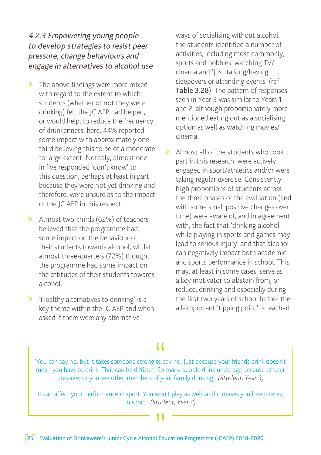### 4.2.3 Empowering young people to develop strategies to resist peer pressure, change behaviours and engage in alternatives to alcohol use

- » The above findings were more mixed with regard to the extent to which students (whether or not they were drinking) felt the JC AEP had helped, or would help, to reduce the frequency of drunkenness; here, 44% reported some impact with approximately one third believing this to be of a moderate to large extent. Notably, almost one in five responded 'don't know' to this question, perhaps at least in part because they were not yet drinking and therefore, were unsure as to the impact of the JC AEP in this respect.
- » Almost two-thirds (62%) of teachers believed that the programme had some impact on the behaviour of their students towards alcohol, whilst almost three-quarters (72%) thought the programme had some impact on the attitudes of their students towards alcohol.
- » 'Healthy alternatives to drinking' is a key theme within the JC AEP and when asked if there were any alternative

ways of socialising without alcohol, the students identified a number of activities, including most commonly, sports and hobbies, watching TV/ cinema and 'just talking/having sleepovers or attending events' (ref Table 3.28). The pattern of responses seen in Year 3 was similar to Years 1 and 2, although proportionately more mentioned eating out as a socialising option as well as watching movies/ cinema.

» Almost all of the students who took part in this research, were actively engaged in sport/athletics and/or were taking regular exercise. Consistently high proportions of students across the three phases of the evaluation (and with some small positive changes over time) were aware of, and in agreement with, the fact that 'drinking alcohol while playing in sports and games may lead to serious injury' and that alcohol can negatively impact both academic and sports performance in school. This may, at least in some cases, serve as a key motivator to abstain from, or reduce, drinking and especially during the first two years of school before the all-important 'tipping point' is reached.

'You can say no, but it takes someone strong to say no. Just because your friends drink doesn't mean you have to drink. That can be difficult. So many people drink underage because of peer pressure, or you see other members of your family drinking'. (Student, Year 3)  $\begin{array}{c} \bigcup \\ \text{to } \text{S} \\ \text{so} \end{array}$ 

'It can affect your performance in sport. You won't play as well, and it makes you lose interest in sport'. (Student, Year 2)

### ) )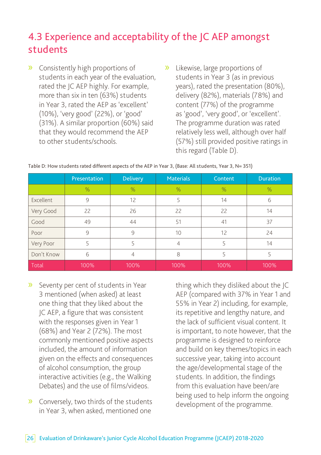### 4.3 Experience and acceptability of the JC AEP amongst students

- » Consistently high proportions of students in each year of the evaluation, rated the JC AEP highly. For example, more than six in ten (63%) students in Year 3, rated the AEP as 'excellent' (10%), 'very good' (22%), or 'good' (31%). A similar proportion (60%) said that they would recommend the AEP to other students/schools.
- » Likewise, large proportions of students in Year 3 (as in previous years), rated the presentation (80%), delivery (82%), materials (78%) and content (77%) of the programme as 'good', 'very good', or 'excellent'. The programme duration was rated relatively less well, although over half (57%) still provided positive ratings in this regard (Table D).

|            | Presentation | <b>Delivery</b> | <b>Materials</b> | Content | <b>Duration</b> |
|------------|--------------|-----------------|------------------|---------|-----------------|
|            | $\%$         | $\%$            | $\%$             | $\%$    | $\%$            |
| Excellent  | 9            | 12              | 5                | 14      | 6               |
| Very Good  | 22           | 26              | 22               | 22      | 14              |
| Good       | 49           | 44              | 51               | 41      | 37              |
| Poor       | 9            | 9               | 10               | 12      | 24              |
| Very Poor  | 5            | 5               | 4                | 5       | 14              |
| Don't Know | 6            | 4               | 8                | 5       | 5               |
| Total      | 100%         | 100%            | 100%             | 100%    | 100%            |

### Table D: How students rated different aspects of the AEP in Year 3, (Base: All students, Year 3, N= 351)

- » Seventy per cent of students in Year 3 mentioned (when asked) at least one thing that they liked about the JC AEP, a figure that was consistent with the responses given in Year 1 (68%) and Year 2 (72%). The most commonly mentioned positive aspects included, the amount of information given on the effects and consequences of alcohol consumption, the group interactive activities (e.g., the Walking Debates) and the use of films/videos.
- » Conversely, two thirds of the students in Year 3, when asked, mentioned one

thing which they disliked about the JC AEP (compared with 37% in Year 1 and 55% in Year 2) including, for example, its repetitive and lengthy nature, and the lack of sufficient visual content. It is important, to note however, that the programme is designed to reinforce and build on key themes/topics in each successive year, taking into account the age/developmental stage of the students. In addition, the findings from this evaluation have been/are being used to help inform the ongoing development of the programme.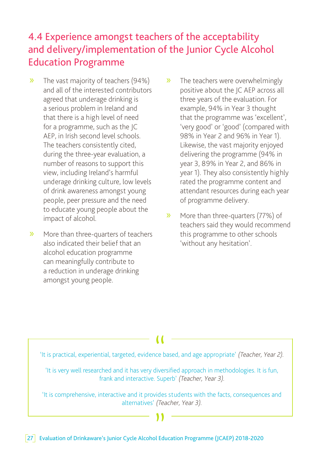### 4.4 Experience amongst teachers of the acceptability and delivery/implementation of the Junior Cycle Alcohol Education Programme

- » The vast majority of teachers (94%) and all of the interested contributors agreed that underage drinking is a serious problem in Ireland and that there is a high level of need for a programme, such as the JC AEP, in Irish second level schools. The teachers consistently cited, during the three-year evaluation, a number of reasons to support this view, including Ireland's harmful underage drinking culture, low levels of drink awareness amongst young people, peer pressure and the need to educate young people about the impact of alcohol.
- » More than three-quarters of teachers also indicated their belief that an alcohol education programme can meaningfully contribute to a reduction in underage drinking amongst young people.
- » The teachers were overwhelmingly positive about the JC AEP across all three years of the evaluation. For example, 94% in Year 3 thought that the programme was 'excellent', 'very good' or 'good' (compared with 98% in Year 2 and 96% in Year 1). Likewise, the vast majority enjoyed delivering the programme (94% in year 3, 89% in Year 2, and 86% in year 1). They also consistently highly rated the programme content and attendant resources during each year of programme delivery.
- » More than three-quarters (77%) of teachers said they would recommend this programme to other schools 'without any hesitation'.



"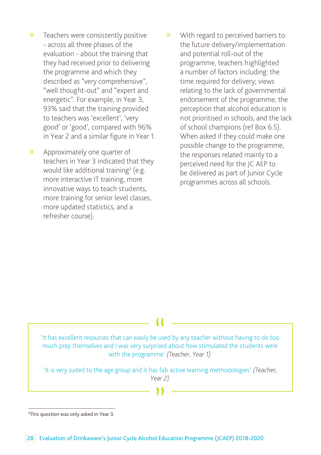- » Teachers were consistently positive - across all three phases of the evaluation - about the training that they had received prior to delivering the programme and which they described as "very comprehensive", "well thought-out" and "expert and energetic". For example, in Year 3, 93% said that the training provided to teachers was 'excellent', 'very good' or 'good', compared with 96% in Year 2 and a similar figure in Year 1.
- » Approximately one quarter of teachers in Year 3 indicated that they would like additional training<sup>3</sup> (e.g. more interactive IT training, more innovative ways to teach students, more training for senior level classes, more updated statistics, and a refresher course).
- » With regard to perceived barriers to the future delivery/implementation and potential roll-out of the programme, teachers highlighted a number of factors including: the time required for delivery; views relating to the lack of governmental endorsement of the programme; the perception that alcohol education is not prioritised in schools; and the lack of school champions (ref Box 6.5). When asked if they could make one possible change to the programme, the responses related mainly to a perceived need for the JC AEP to be delivered as part of Junior Cycle programmes across all schools.



<sup>3</sup> This question was only asked in Year 3.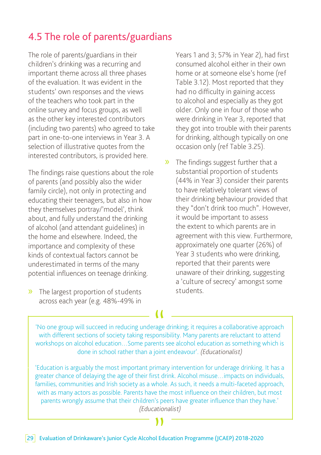### 4.5 The role of parents/guardians

The role of parents/guardians in their children's drinking was a recurring and important theme across all three phases of the evaluation. It was evident in the students' own responses and the views of the teachers who took part in the online survey and focus groups, as well as the other key interested contributors (including two parents) who agreed to take part in one-to-one interviews in Year 3. A selection of illustrative quotes from the interested contributors, is provided here.

The findings raise questions about the role of parents (and possibly also the wider family circle), not only in protecting and educating their teenagers, but also in how they themselves portray/'model', think about, and fully understand the drinking of alcohol (and attendant guidelines) in the home and elsewhere. Indeed, the importance and complexity of these kinds of contextual factors cannot be underestimated in terms of the many potential influences on teenage drinking.

» The largest proportion of students across each year (e.g. 48%-49% in

Years 1 and 3; 57% in Year 2), had first consumed alcohol either in their own home or at someone else's home (ref Table 3.12). Most reported that they had no difficulty in gaining access to alcohol and especially as they got older. Only one in four of those who were drinking in Year 3, reported that they got into trouble with their parents for drinking, although typically on one occasion only (ref Table 3.25).

» The findings suggest further that a substantial proportion of students (44% in Year 3) consider their parents to have relatively tolerant views of their drinking behaviour provided that they "don't drink too much". However, it would be important to assess the extent to which parents are in agreement with this view. Furthermore, approximately one quarter (26%) of Year 3 students who were drinking, reported that their parents were unaware of their drinking, suggesting a 'culture of secrecy' amongst some students.

'No one group will succeed in reducing underage drinking; it requires a collaborative approach with different sections of society taking responsibility. Many parents are reluctant to attend workshops on alcohol education…Some parents see alcohol education as something which is done in school rather than a joint endeavour'. (Educationalist) (

'Education is arguably the most important primary intervention for underage drinking. It has a greater chance of delaying the age of their first drink. Alcohol misuse…impacts on individuals, families, communities and Irish society as a whole. As such, it needs a multi-faceted approach, with as many actors as possible. Parents have the most influence on their children, but most parents wrongly assume that their children's peers have greater influence than they have.' (Educationalist)

) )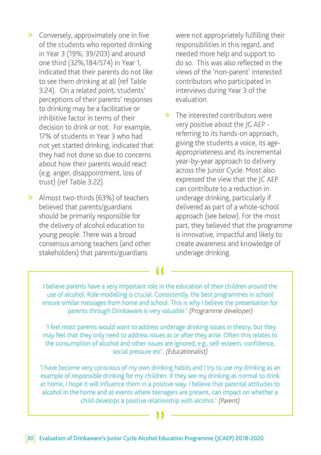- » Conversely, approximately one in five of the students who reported drinking in Year 3 (19%, 39/203) and around one third (32%,184/574) in Year 1, indicated that their parents do not like to see them drinking at all (ref Table 3.24). On a related point, students' perceptions of their parents' responses to drinking may be a facilitative or inhibitive factor in terms of their decision to drink or not. For example, 17% of students in Year 3 who had not yet started drinking, indicated that they had not done so due to concerns about how their parents would react (e.g. anger, disappointment, loss of trust) (ref Table 3.22).
- » Almost two-thirds (63%) of teachers believed that parents/guardians should be primarily responsible for the delivery of alcohol education to young people. There was a broad consensus among teachers (and other stakeholders) that parents/guardians

were not appropriately fulfilling their responsibilities in this regard, and needed more help and support to do so. This was also reflected in the views of the 'non-parent' interested contributors who participated in interviews during Year 3 of the evaluation.

» The interested contributors were very positive about the JC AEP referring to its hands-on approach, giving the students a voice, its ageappropriateness and its incremental year-by-year approach to delivery across the Junior Cycle. Most also expressed the view that the JC AEP can contribute to a reduction in underage drinking, particularly if delivered as part of a whole-school approach (see below). For the most part, they believed that the programme is innovative, impactful and likely to create awareness and knowledge of underage drinking.

I believe parents have a very important role in the education of their children around the use of alcohol. Role modelling is crucial. Consistently, the best programmes in school ensure similar messages from home and school. This is why I believe the presentation for parents through Drinkaware is very valuable.' (Programme developer) (

 'I feel most parents would want to address underage drinking issues in theory, but they may feel that they only need to address issues as or after they arise. Often this relates to the consumption of alcohol and other issues are ignored, e.g., self-esteem, confidence, social pressure etc'. (Educationalist)

'I have become very conscious of my own drinking habits and I try to use my drinking as an example of responsible drinking for my children. If they see my drinking as normal to drink at home, I hope it will influence them in a positive way. I believe that parental attitudes to alcohol in the home and at events where teenagers are present, can impact on whether a child develops a positive relationship with alcohol.' (Parent)

) )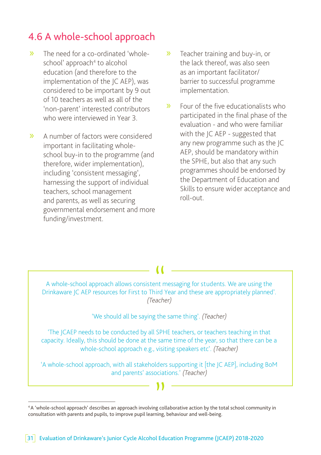### 4.6 A whole-school approach

- » The need for a co-ordinated 'wholeschool' approach<sup>4</sup> to alcohol education (and therefore to the implementation of the JC AEP), was considered to be important by 9 out of 10 teachers as well as all of the 'non-parent' interested contributors who were interviewed in Year 3
- » A number of factors were considered important in facilitating wholeschool buy-in to the programme (and therefore, wider implementation), including 'consistent messaging', harnessing the support of individual teachers, school management and parents, as well as securing governmental endorsement and more funding/investment.
- » Teacher training and buy-in, or the lack thereof, was also seen as an important facilitator/ barrier to successful programme implementation.
- » Four of the five educationalists who participated in the final phase of the evaluation - and who were familiar with the JC AEP - suggested that any new programme such as the JC AEP, should be mandatory within the SPHE, but also that any such programmes should be endorsed by the Department of Education and Skills to ensure wider acceptance and roll-out.

A whole-school approach allows consistent messaging for students. We are using the Drinkaware JC AEP resources for First to Third Year and these are appropriately planned'. A whole-school approach allows consistent messaging for students. We are using the (Teacher)

'We should all be saying the same thing'. (Teacher)

'The JCAEP needs to be conducted by all SPHE teachers, or teachers teaching in that capacity. Ideally, this should be done at the same time of the year, so that there can be a whole-school approach e.g., visiting speakers etc'. (Teacher)

and parents' associations.' (Teacher) 'A whole-school approach, with all stakeholders supporting it [the JC AEP], including BoM

<sup>4</sup> A 'whole-school approach' describes an approach involving collaborative action by the total school community in consultation with parents and pupils, to improve pupil learning, behaviour and well-being.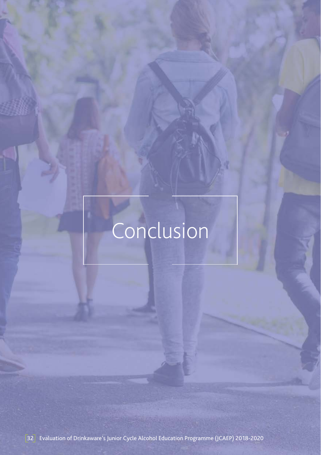# Conclusion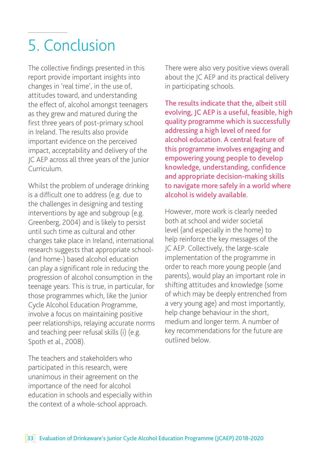# 5. Conclusion

The collective findings presented in this report provide important insights into changes in 'real time', in the use of, attitudes toward, and understanding the effect of, alcohol amongst teenagers as they grew and matured during the first three years of post-primary school in Ireland. The results also provide important evidence on the perceived impact, acceptability and delivery of the JC AEP across all three years of the Junior Curriculum.

Whilst the problem of underage drinking is a difficult one to address (e.g. due to the challenges in designing and testing interventions by age and subgroup (e.g. Greenberg, 2004) and is likely to persist until such time as cultural and other changes take place in Ireland, international research suggests that appropriate school- (and home-) based alcohol education can play a significant role in reducing the progression of alcohol consumption in the teenage years. This is true, in particular, for those programmes which, like the Junior Cycle Alcohol Education Programme, involve a focus on maintaining positive peer relationships, relaying accurate norms and teaching peer refusal skills (i) (e.g. Spoth et al., 2008).

The teachers and stakeholders who participated in this research, were unanimous in their agreement on the importance of the need for alcohol education in schools and especially within the context of a whole-school approach.

There were also very positive views overall about the JC AEP and its practical delivery in participating schools.

The results indicate that the, albeit still evolving, JC AEP is a useful, feasible, high quality programme which is successfully addressing a high level of need for alcohol education. A central feature of this programme involves engaging and empowering young people to develop knowledge, understanding, confidence and appropriate decision-making skills to navigate more safely in a world where alcohol is widely available.

However, more work is clearly needed both at school and wider societal level (and especially in the home) to help reinforce the key messages of the JC AEP. Collectively, the large-scale implementation of the programme in order to reach more young people (and parents), would play an important role in shifting attitudes and knowledge (some of which may be deeply entrenched from a very young age) and most importantly, help change behaviour in the short, medium and longer term. A number of key recommendations for the future are outlined below.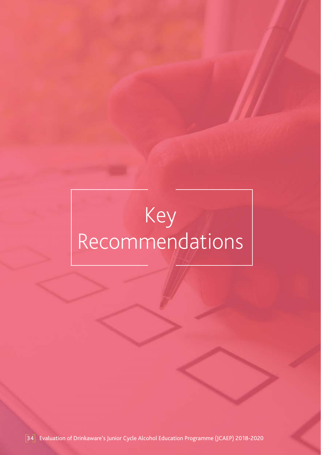# Key Recommendations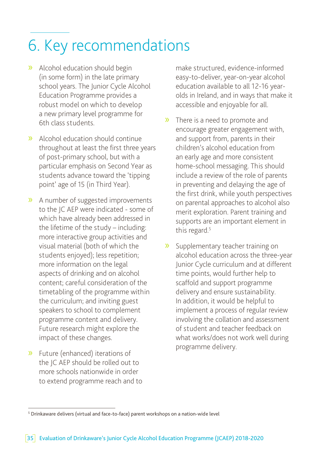# 6. Key recommendations

- » Alcohol education should begin (in some form) in the late primary school years. The Junior Cycle Alcohol Education Programme provides a robust model on which to develop a new primary level programme for 6th class students.
- » Alcohol education should continue throughout at least the first three years of post-primary school, but with a particular emphasis on Second Year as students advance toward the 'tipping point' age of 15 (in Third Year).
- » A number of suggested improvements to the JC AEP were indicated - some of which have already been addressed in the lifetime of the study – including: more interactive group activities and visual material (both of which the students enjoyed); less repetition; more information on the legal aspects of drinking and on alcohol content; careful consideration of the timetabling of the programme within the curriculum; and inviting guest speakers to school to complement programme content and delivery. Future research might explore the impact of these changes.
- » Future (enhanced) iterations of the JC AEP should be rolled out to more schools nationwide in order to extend programme reach and to

make structured, evidence-informed easy-to-deliver, year-on-year alcohol education available to all 12-16 yearolds in Ireland, and in ways that make it accessible and enjoyable for all.

- » There is a need to promote and encourage greater engagement with, and support from, parents in their children's alcohol education from an early age and more consistent home-school messaging. This should include a review of the role of parents in preventing and delaying the age of the first drink, while youth perspectives on parental approaches to alcohol also merit exploration. Parent training and supports are an important element in this regard.<sup>5</sup>
- » Supplementary teacher training on alcohol education across the three-year Junior Cycle curriculum and at different time points, would further help to scaffold and support programme delivery and ensure sustainability. In addition, it would be helpful to implement a process of regular review involving the collation and assessment of student and teacher feedback on what works/does not work well during programme delivery.

<sup>&</sup>lt;sup>5</sup> Drinkaware delivers (virtual and face-to-face) parent workshops on a nation-wide level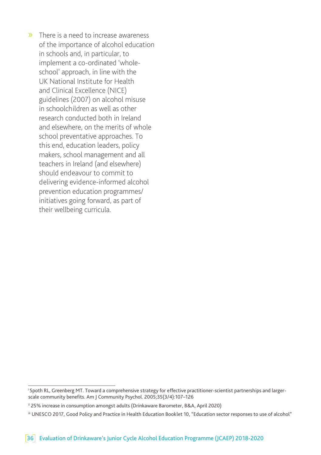» There is a need to increase awareness of the importance of alcohol education in schools and, in particular, to implement a co-ordinated 'wholeschool' approach, in line with the UK National Institute for Health and Clinical Excellence (NICE) guidelines (2007) on alcohol misuse in schoolchildren as well as other research conducted both in Ireland and elsewhere, on the merits of whole school preventative approaches. To this end, education leaders, policy makers, school management and all teachers in Ireland (and elsewhere) should endeavour to commit to delivering evidence-informed alcohol prevention education programmes/ initiatives going forward, as part of their wellbeing curricula.

<sup>&</sup>lt;sup>i</sup> Spoth RL, Greenberg MT. Toward a comprehensive strategy for effective practitioner-scientist partnerships and largerscale community benefits. Am J Community Psychol. 2005;35(3/4):107–126

ii 25% increase in consumption amongst adults (Drinkaware Barometer, B&A, April 2020)

iii UNESCO 2017, Good Policy and Practice in Health Education Booklet 10, "Education sector responses to use of alcohol"